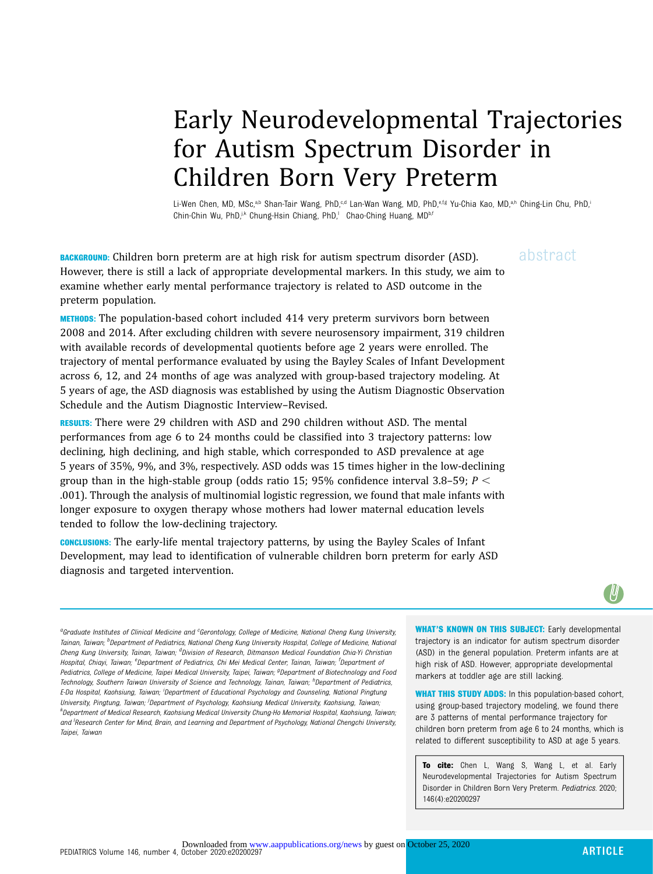# Early Neurodevelopmental Trajectories for Autism Spectrum Disorder in Children Born Very Preterm

Li-Wen Chen, MD, MSc,<sup>a,b</sup> Shan-Tair Wang, PhD,<sup>c,d</sup> Lan-Wan Wang, MD, PhD,<sup>e,f,g</sup> Yu-Chia Kao, MD,<sup>a,h</sup> Ching-Lin Chu, PhD,<sup>i</sup> Chin-Chin Wu, PhD, ik Chung-Hsin Chiang, PhD,<sup>1</sup> Chao-Ching Huang, MD<sup>b,f</sup>

**BACKGROUND:** Children born preterm are at high risk for autism spectrum disorder (ASD).  $a\bar{b}$ stract However, there is still a lack of appropriate developmental markers. In this study, we aim to examine whether early mental performance trajectory is related to ASD outcome in the preterm population.

METHODS: The population-based cohort included 414 very preterm survivors born between 2008 and 2014. After excluding children with severe neurosensory impairment, 319 children with available records of developmental quotients before age 2 years were enrolled. The trajectory of mental performance evaluated by using the Bayley Scales of Infant Development across 6, 12, and 24 months of age was analyzed with group-based trajectory modeling. At 5 years of age, the ASD diagnosis was established by using the Autism Diagnostic Observation Schedule and the Autism Diagnostic Interview–Revised.

**RESULTS:** There were 29 children with ASD and 290 children without ASD. The mental performances from age 6 to 24 months could be classified into 3 trajectory patterns: low declining, high declining, and high stable, which corresponded to ASD prevalence at age 5 years of 35%, 9%, and 3%, respectively. ASD odds was 15 times higher in the low-declining group than in the high-stable group (odds ratio 15; 95% confidence interval 3.8–59;  $P \leq$ .001). Through the analysis of multinomial logistic regression, we found that male infants with longer exposure to oxygen therapy whose mothers had lower maternal education levels tended to follow the low-declining trajectory.

CONCLUSIONS: The early-life mental trajectory patterns, by using the Bayley Scales of Infant Development, may lead to identification of vulnerable children born preterm for early ASD diagnosis and targeted intervention.

WHAT'S KNOWN ON THIS SUBJECT: Early developmental trajectory is an indicator for autism spectrum disorder (ASD) in the general population. Preterm infants are at high risk of ASD. However, appropriate developmental markers at toddler age are still lacking.

WHAT THIS STUDY ADDS: In this population-based cohort, using group-based trajectory modeling, we found there are 3 patterns of mental performance trajectory for children born preterm from age 6 to 24 months, which is related to different susceptibility to ASD at age 5 years.

To cite: Chen L, Wang S, Wang L, et al. Early Neurodevelopmental Trajectories for Autism Spectrum Disorder in Children Born Very Preterm. Pediatrics. 2020; 146(4):e20200297

aGraduate Institutes of Clinical Medicine and <sup>c</sup>Gerontology, College of Medicine, National Cheng Kung University, Tainan, Taiwan; <sup>b</sup>Department of Pediatrics, National Cheng Kung University Hospital, College of Medicine, National Cheng Kung University, Tainan, Taiwan; <sup>d</sup>Division of Research, Ditmanson Medical Foundation Chia-Yi Christian Hospital, Chiayi, Taiwan; <sup>e</sup>Department of Pediatrics, Chi Mei Medical Center, Tainan, Taiwan; <sup>f</sup>Department o*f* Pediatrics, College of Medicine, Taipei Medical University, Taipei, Taiwan; <sup>g</sup>Department of Biotechnology and Food Technology, Southern Taiwan University of Science and Technology, Tainan, Taiwan; <sup>h</sup>Department of Pediatrics, E-Da Hospital, Kaohsiung, Taiwan; <sup>i</sup>Department of Educational Psychology and Counseling, National Pingtung University, Pingtung, Taiwan; <sup>j</sup>Department of Psychology, Kaohsiung Medical University, Kaohsiung, Taiwan; k Department of Medical Research, Kaohsiung Medical University Chung-Ho Memorial Hospital, Kaohsiung, Taiwan; and <sup>I</sup>Research Center for Mind, Brain, and Learning and Department of Psychology, National Chengchi University, Taipei, Taiwan

U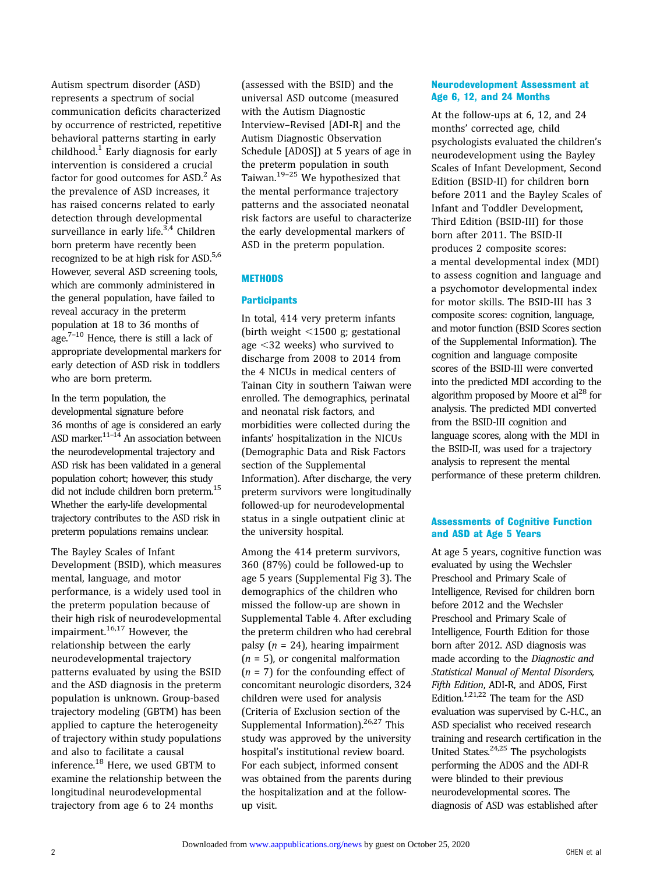Autism spectrum disorder (ASD) represents a spectrum of social communication deficits characterized by occurrence of restricted, repetitive behavioral patterns starting in early childhood.<sup>[1](#page-6-0)</sup> Early diagnosis for early intervention is considered a crucial factor for good outcomes for  $ASD<sup>2</sup> As$  $ASD<sup>2</sup> As$  $ASD<sup>2</sup> As$ the prevalence of ASD increases, it has raised concerns related to early detection through developmental surveillance in early life. $3,4$  Children born preterm have recently been recognized to be at high risk for ASD.<sup>[5,6](#page-6-0)</sup> However, several ASD screening tools, which are commonly administered in the general population, have failed to reveal accuracy in the preterm population at 18 to 36 months of age.<sup>[7](#page-6-0)–[10](#page-6-0)</sup> Hence, there is still a lack of appropriate developmental markers for early detection of ASD risk in toddlers who are born preterm.

In the term population, the developmental signature before 36 months of age is considered an early  $\sim$  ASD marker. $11-14$  $11-14$  $11-14$  An association between the neurodevelopmental trajectory and ASD risk has been validated in a general population cohort; however, this study did not include children born preterm.<sup>15</sup> Whether the early-life developmental trajectory contributes to the ASD risk in preterm populations remains unclear.

The Bayley Scales of Infant Development (BSID), which measures mental, language, and motor performance, is a widely used tool in the preterm population because of their high risk of neurodevelopmental impairment.[16,17](#page-6-0) However, the relationship between the early neurodevelopmental trajectory patterns evaluated by using the BSID and the ASD diagnosis in the preterm population is unknown. Group-based trajectory modeling (GBTM) has been applied to capture the heterogeneity of trajectory within study populations and also to facilitate a causal inference[.18](#page-7-0) Here, we used GBTM to examine the relationship between the longitudinal neurodevelopmental trajectory from age 6 to 24 months

(assessed with the BSID) and the universal ASD outcome (measured with the Autism Diagnostic Interview–Revised [ADI-R] and the Autism Diagnostic Observation Schedule [ADOS]) at 5 years of age in the preterm population in south Taiwan.<sup>[19](#page-7-0)–[25](#page-7-0)</sup> We hypothesized that the mental performance trajectory patterns and the associated neonatal risk factors are useful to characterize the early developmental markers of ASD in the preterm population.

#### **METHODS**

#### **Participants**

In total, 414 very preterm infants (birth weight  $\leq$ 1500 g; gestational age  $<$ 32 weeks) who survived to discharge from 2008 to 2014 from the 4 NICUs in medical centers of Tainan City in southern Taiwan were enrolled. The demographics, perinatal and neonatal risk factors, and morbidities were collected during the infants' hospitalization in the NICUs (Demographic Data and Risk Factors section of the [Supplemental](https://pediatrics.aappublications.org/lookup/suppl/doi:10.1542/peds.2020-0297/-/DCSupplemental/) [Information](https://pediatrics.aappublications.org/lookup/suppl/doi:10.1542/peds.2020-0297/-/DCSupplemental/)). After discharge, the very preterm survivors were longitudinally followed-up for neurodevelopmental status in a single outpatient clinic at the university hospital.

Among the 414 preterm survivors, 360 (87%) could be followed-up to age 5 years ([Supplemental Fig 3\)](https://pediatrics.aappublications.org/lookup/suppl/doi:10.1542/peds.2020-0297/-/DCSupplemental/). The demographics of the children who missed the follow-up are shown in [Supplemental Table 4.](https://pediatrics.aappublications.org/lookup/suppl/doi:10.1542/peds.2020-0297/-/DCSupplemental/) After excluding the preterm children who had cerebral palsy ( $n = 24$ ), hearing impairment  $(n = 5)$ , or congenital malformation  $(n = 7)$  for the confounding effect of concomitant neurologic disorders, 324 children were used for analysis (Criteria of Exclusion section of the [Supplemental Information](https://pediatrics.aappublications.org/lookup/suppl/doi:10.1542/peds.2020-0297/-/DCSupplemental/)).<sup>[26](#page-7-0),[27](#page-7-0)</sup> This study was approved by the university hospital's institutional review board. For each subject, informed consent was obtained from the parents during the hospitalization and at the followup visit.

#### Neurodevelopment Assessment at Age 6, 12, and 24 Months

At the follow-ups at 6, 12, and 24 months' corrected age, child psychologists evaluated the children's neurodevelopment using the Bayley Scales of Infant Development, Second Edition (BSID-II) for children born before 2011 and the Bayley Scales of Infant and Toddler Development, Third Edition (BSID-III) for those born after 2011. The BSID-II produces 2 composite scores: a mental developmental index (MDI) to assess cognition and language and a psychomotor developmental index for motor skills. The BSID-III has 3 composite scores: cognition, language, and motor function (BSID Scores section of the [Supplemental Information\)](https://pediatrics.aappublications.org/lookup/suppl/doi:10.1542/peds.2020-0297/-/DCSupplemental/). The cognition and language composite scores of the BSID-III were converted into the predicted MDI according to the algorithm proposed by Moore et  $al^{28}$  for analysis. The predicted MDI converted from the BSID-III cognition and language scores, along with the MDI in the BSID-II, was used for a trajectory analysis to represent the mental performance of these preterm children.

#### Assessments of Cognitive Function and ASD at Age 5 Years

At age 5 years, cognitive function was evaluated by using the Wechsler Preschool and Primary Scale of Intelligence, Revised for children born before 2012 and the Wechsler Preschool and Primary Scale of Intelligence, Fourth Edition for those born after 2012. ASD diagnosis was made according to the Diagnostic and Statistical Manual of Mental Disorders, Fifth Edition, ADI-R, and ADOS, First Edition[.1](#page-6-0)[,21,22](#page-7-0) The team for the ASD evaluation was supervised by C.-H.C., an ASD specialist who received research training and research certification in the United States. $24,25$  The psychologists performing the ADOS and the ADI-R were blinded to their previous neurodevelopmental scores. The diagnosis of ASD was established after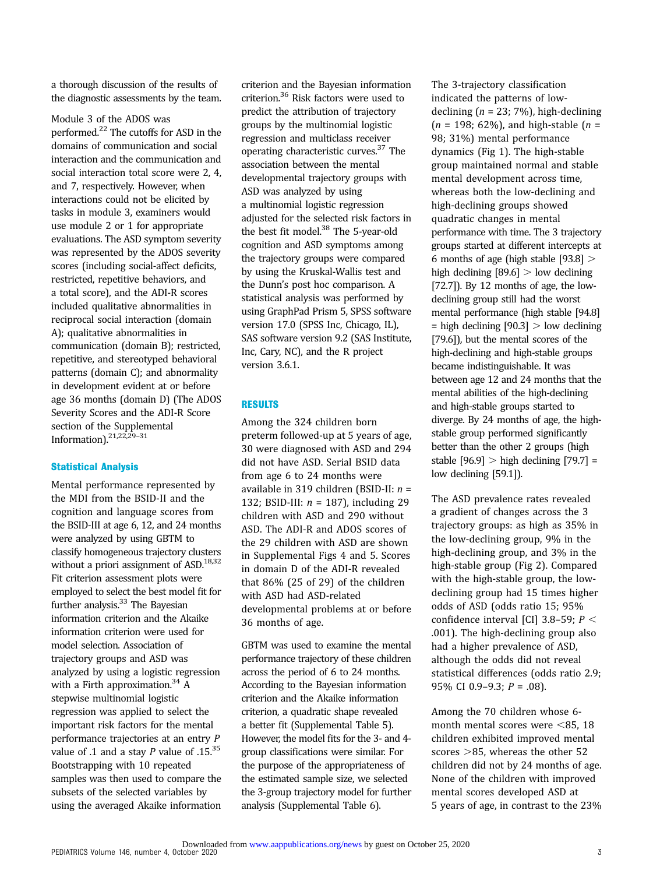a thorough discussion of the results of the diagnostic assessments by the team.

Module 3 of the ADOS was performed.[22](#page-7-0) The cutoffs for ASD in the domains of communication and social interaction and the communication and social interaction total score were 2, 4, and 7, respectively. However, when interactions could not be elicited by tasks in module 3, examiners would use module 2 or 1 for appropriate evaluations. The ASD symptom severity was represented by the ADOS severity scores (including social-affect deficits, restricted, repetitive behaviors, and a total score), and the ADI-R scores included qualitative abnormalities in reciprocal social interaction (domain A); qualitative abnormalities in communication (domain B); restricted, repetitive, and stereotyped behavioral patterns (domain C); and abnormality in development evident at or before age 36 months (domain D) (The ADOS Severity Scores and the ADI-R Score section of the [Supplemental](https://pediatrics.aappublications.org/lookup/suppl/doi:10.1542/peds.2020-0297/-/DCSupplemental/) [Information\)](https://pediatrics.aappublications.org/lookup/suppl/doi:10.1542/peds.2020-0297/-/DCSupplemental/)[.21](#page-7-0),[22,29](#page-7-0)–[31](#page-7-0)

#### Statistical Analysis

Mental performance represented by the MDI from the BSID-II and the cognition and language scores from the BSID-III at age 6, 12, and 24 months were analyzed by using GBTM to classify homogeneous trajectory clusters without a priori assignment of  $ASD$ <sup>18,32</sup> Fit criterion assessment plots were employed to select the best model fit for further analysis. $33$  The Bayesian information criterion and the Akaike information criterion were used for model selection. Association of trajectory groups and ASD was analyzed by using a logistic regression with a Firth approximation.<sup>34</sup> A stepwise multinomial logistic regression was applied to select the important risk factors for the mental performance trajectories at an entry P value of .1 and a stay  $P$  value of .15.<sup>35</sup> Bootstrapping with 10 repeated samples was then used to compare the subsets of the selected variables by using the averaged Akaike information

criterion and the Bayesian information criterion[.36](#page-7-0) Risk factors were used to predict the attribution of trajectory groups by the multinomial logistic regression and multiclass receiver operating characteristic curves[.37](#page-7-0) The association between the mental developmental trajectory groups with ASD was analyzed by using a multinomial logistic regression adjusted for the selected risk factors in the best fit model.<sup>38</sup> The 5-year-old cognition and ASD symptoms among the trajectory groups were compared by using the Kruskal-Wallis test and the Dunn's post hoc comparison. A statistical analysis was performed by using GraphPad Prism 5, SPSS software version 17.0 (SPSS Inc, Chicago, IL), SAS software version 9.2 (SAS Institute, Inc, Cary, NC), and the R project version 3.6.1.

#### **RESULTS**

Among the 324 children born preterm followed-up at 5 years of age, 30 were diagnosed with ASD and 294 did not have ASD. Serial BSID data from age 6 to 24 months were available in 319 children (BSID-II:  $n =$ 132; BSID-III:  $n = 187$ ), including 29 children with ASD and 290 without ASD. The ADI-R and ADOS scores of the 29 children with ASD are shown in [Supplemental Figs 4](https://pediatrics.aappublications.org/lookup/suppl/doi:10.1542/peds.2020-0297/-/DCSupplemental/) and [5.](https://pediatrics.aappublications.org/lookup/suppl/doi:10.1542/peds.2020-0297/-/DCSupplemental/) Scores in domain D of the ADI-R revealed that 86% (25 of 29) of the children with ASD had ASD-related developmental problems at or before 36 months of age.

GBTM was used to examine the mental performance trajectory of these children across the period of 6 to 24 months. According to the Bayesian information criterion and the Akaike information criterion, a quadratic shape revealed a better fit [\(Supplemental Table 5\)](https://pediatrics.aappublications.org/lookup/suppl/doi:10.1542/peds.2020-0297/-/DCSupplemental/). However, the model fits for the 3- and 4 group classifications were similar. For the purpose of the appropriateness of the estimated sample size, we selected the 3-group trajectory model for further analysis [\(Supplemental Table 6](https://pediatrics.aappublications.org/lookup/suppl/doi:10.1542/peds.2020-0297/-/DCSupplemental/)).

The 3-trajectory classification indicated the patterns of lowdeclining ( $n = 23$ ; 7%), high-declining  $(n = 198; 62\%)$ , and high-stable  $(n =$ 98; 31%) mental performance dynamics [\(Fig 1](#page-3-0)). The high-stable group maintained normal and stable mental development across time, whereas both the low-declining and high-declining groups showed quadratic changes in mental performance with time. The 3 trajectory groups started at different intercepts at 6 months of age (high stable  $[93.8] >$ high declining  $[89.6] >$  low declining [72.7]). By 12 months of age, the lowdeclining group still had the worst mental performance (high stable [94.8]  $=$  high declining [90.3]  $>$  low declining [79.6]), but the mental scores of the high-declining and high-stable groups became indistinguishable. It was between age 12 and 24 months that the mental abilities of the high-declining and high-stable groups started to diverge. By 24 months of age, the highstable group performed significantly better than the other 2 groups (high stable  $[96.9] >$  high declining  $[79.7] =$ low declining [59.1]).

The ASD prevalence rates revealed a gradient of changes across the 3 trajectory groups: as high as 35% in the low-declining group, 9% in the high-declining group, and 3% in the high-stable group ([Fig 2](#page-3-0)). Compared with the high-stable group, the lowdeclining group had 15 times higher odds of ASD (odds ratio 15; 95% confidence interval [CI] 3.8-59;  $P <$ .001). The high-declining group also had a higher prevalence of ASD, although the odds did not reveal statistical differences (odds ratio 2.9; 95% CI 0.9-9.3;  $P = .08$ ).

Among the 70 children whose 6 month mental scores were  $\leq$ 85, 18 children exhibited improved mental scores  $>85$ , whereas the other 52 children did not by 24 months of age. None of the children with improved mental scores developed ASD at 5 years of age, in contrast to the 23%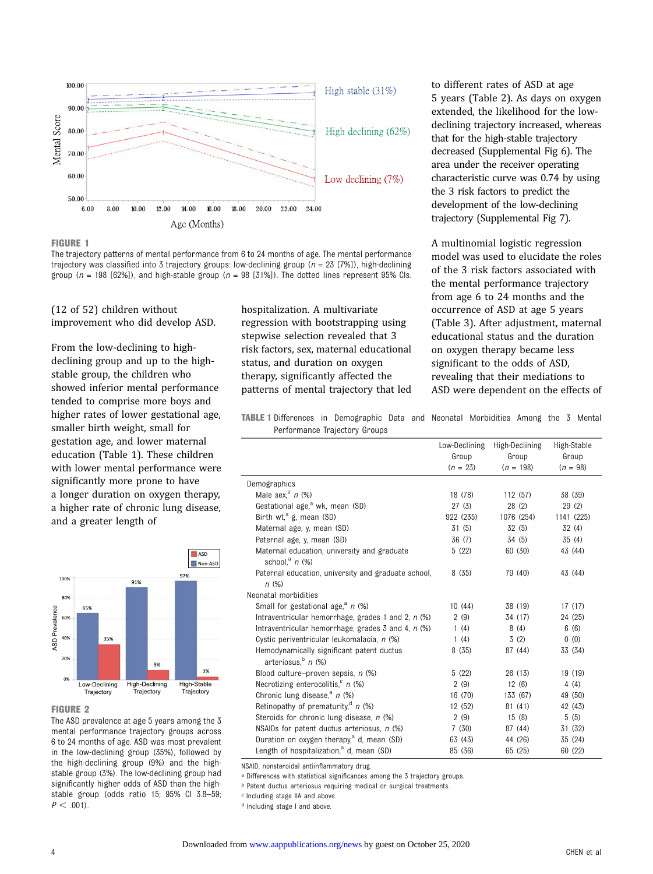<span id="page-3-0"></span>

#### FIGURE 1

The trajectory patterns of mental performance from 6 to 24 months of age. The mental performance trajectory was classified into 3 trajectory groups: low-declining group ( $n = 23$  [7%]), high-declining group ( $n = 198$  [62%]), and high-stable group ( $n = 98$  [31%]). The dotted lines represent 95% Cls.

(12 of 52) children without improvement who did develop ASD.

From the low-declining to highdeclining group and up to the highstable group, the children who showed inferior mental performance tended to comprise more boys and higher rates of lower gestational age, smaller birth weight, small for gestation age, and lower maternal education (Table 1). These children with lower mental performance were significantly more prone to have a longer duration on oxygen therapy, a higher rate of chronic lung disease, and a greater length of



#### FIGURE 2

The ASD prevalence at age 5 years among the 3 mental performance trajectory groups across 6 to 24 months of age. ASD was most prevalent in the low-declining group (35%), followed by the high-declining group (9%) and the highstable group (3%). The low-declining group had significantly higher odds of ASD than the highstable group (odds ratio 15; 95% CI 3.8–59;  $P < .001$ ).

hospitalization. A multivariate regression with bootstrapping using stepwise selection revealed that 3 risk factors, sex, maternal educational status, and duration on oxygen therapy, significantly affected the patterns of mental trajectory that led to different rates of ASD at age 5 years (Table 2). As days on oxygen extended, the likelihood for the lowdeclining trajectory increased, whereas that for the high-stable trajectory decreased [\(Supplemental Fig 6\)](https://pediatrics.aappublications.org/lookup/suppl/doi:10.1542/peds.2020-0297/-/DCSupplemental/). The area under the receiver operating characteristic curve was 0.74 by using the 3 risk factors to predict the development of the low-declining trajectory [\(Supplemental Fig 7](https://pediatrics.aappublications.org/lookup/suppl/doi:10.1542/peds.2020-0297/-/DCSupplemental/)).

A multinomial logistic regression model was used to elucidate the roles of the 3 risk factors associated with the mental performance trajectory from age 6 to 24 months and the occurrence of ASD at age 5 years (Table 3). After adjustment, maternal educational status and the duration on oxygen therapy became less significant to the odds of ASD, revealing that their mediations to ASD were dependent on the effects of

TABLE 1 Differences in Demographic Data and Neonatal Morbidities Among the 3 Mental Performance Trajectory Groups

|                                                                                            | Low-Declining<br>Group<br>$(n = 23)$ | High-Declining<br>Group<br>$(n = 198)$ | High-Stable<br>Group<br>$(n = 98)$ |
|--------------------------------------------------------------------------------------------|--------------------------------------|----------------------------------------|------------------------------------|
| Demographics                                                                               |                                      |                                        |                                    |
| Male sex, $a$ n (%)                                                                        | 18 (78)                              | 112 (57)                               | 38 (39)                            |
| Gestational age, <sup>a</sup> wk, mean (SD)                                                | 27(3)                                | 28(2)                                  | 29(2)                              |
| Birth wt, $^a$ g, mean (SD)                                                                | 922 (235)                            | 1076 (254)                             | 1141 (225)                         |
| Maternal age, y, mean (SD)                                                                 | 31(5)                                | 32(5)                                  | 32(4)                              |
| Paternal age, y, mean (SD)                                                                 | 36 (7)                               | 34 (5)                                 | 35 (4)                             |
| Maternal education, university and graduate<br>school, $n$ (%)                             | 5(22)                                | 60 (30)                                | 43 (44)                            |
| Paternal education, university and graduate school,<br>n(%)                                | 8(35)                                | 79 (40)                                | 43 (44)                            |
| Neonatal morbidities                                                                       |                                      |                                        |                                    |
| Small for gestational age, <sup>a</sup> n (%)                                              | 10(44)                               | 38 (19)                                | 17 (17)                            |
| Intraventricular hemorrhage, grades 1 and 2, $n$ (%)                                       | 2(9)                                 | 34 (17)                                | 24 (25)                            |
| Intraventricular hemorrhage, grades $\overline{3}$ and $\overline{4}$ , $\overline{n}$ (%) | 1(4)                                 | 8(4)                                   | 6(6)                               |
| Cystic periventricular leukomalacia, n (%)                                                 | 1(4)                                 | 3(2)                                   | 0(0)                               |
| Hemodynamically significant patent ductus<br>arteriosus, $n$ (%)                           | 8(35)                                | 87 (44)                                | 33 (34)                            |
| Blood culture-proven sepsis, n (%)                                                         | 5(22)                                | 26 (13)                                | 19 (19)                            |
| Necrotizing enterocolitis, $n$ (%)                                                         | 2(9)                                 | 12(6)                                  | 4(4)                               |
| Chronic lung disease, <sup>a</sup> $n$ (%)                                                 | 16 (70)                              | 133 (67)                               | 49 (50)                            |
| Retinopathy of prematurity, <sup>d</sup> $n$ (%)                                           | 12 (52)                              | 81(41)                                 | 42 (43)                            |
| Steroids for chronic lung disease, n (%)                                                   | 2(9)                                 | 15(8)                                  | 5(5)                               |
| NSAIDs for patent ductus arteriosus, $n$ (%)                                               | 7(30)                                | 87 (44)                                | 31 (32)                            |
| Duration on oxygen therapy, <sup>a</sup> d, mean (SD)                                      | 63 (43)                              | 44 (26)                                | 35 (24)                            |
| Length of hospitalization, <sup>a</sup> d, mean (SD)                                       | 85 (36)                              | 65 (25)                                | 60 (22)                            |

NSAID, nonsteroidal antiinflammatory drug.

<sup>a</sup> Differences with statistical significances among the 3 trajectory groups.

**b** Patent ductus arteriosus requiring medical or surgical treatments.

c Including stage IIA and above.

d Including stage I and above.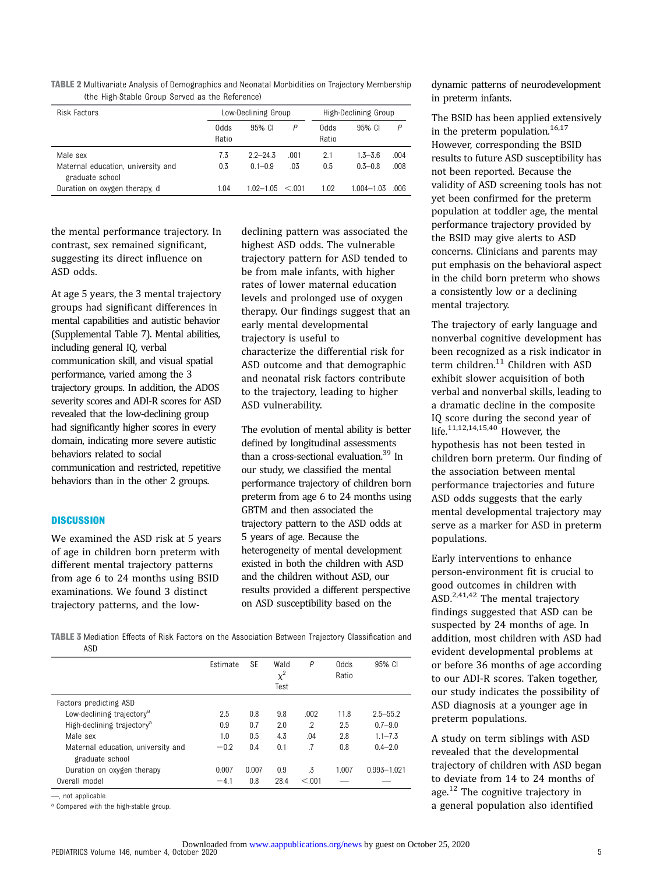TABLE 2 Multivariate Analysis of Demographics and Neonatal Morbidities on Trajectory Membership (the High-Stable Group Served as the Reference)

| Risk Factors                                          |               | Low-Declining Group |        |               | High-Declining Group |      |  |
|-------------------------------------------------------|---------------|---------------------|--------|---------------|----------------------|------|--|
|                                                       | 0dds<br>Ratio | 95% CI              | Ρ      | abb0<br>Ratio | 95% CI               | P    |  |
| Male sex                                              | 7.3           | $22 - 243$          | .001   | 2.1           | $1.3 - 3.6$          | .004 |  |
| Maternal education, university and<br>graduate school | 0.3           | $01 - 0.9$          | .03    | 0.5           | $0.3 - 0.8$          | .008 |  |
| Duration on oxygen therapy, d                         | 1.04          | 1 02–1 05           | < 0.01 | 1.02          | 1 004–1 03           | .006 |  |

the mental performance trajectory. In contrast, sex remained significant, suggesting its direct influence on ASD odds.

At age 5 years, the 3 mental trajectory groups had significant differences in mental capabilities and autistic behavior [\(Supplemental Table 7](https://pediatrics.aappublications.org/lookup/suppl/doi:10.1542/peds.2020-0297/-/DCSupplemental/)). Mental abilities, including general IQ, verbal communication skill, and visual spatial performance, varied among the 3 trajectory groups. In addition, the ADOS severity scores and ADI-R scores for ASD revealed that the low-declining group had significantly higher scores in every domain, indicating more severe autistic behaviors related to social communication and restricted, repetitive behaviors than in the other 2 groups.

#### **DISCUSSION**

We examined the ASD risk at 5 years of age in children born preterm with different mental trajectory patterns from age 6 to 24 months using BSID examinations. We found 3 distinct trajectory patterns, and the lowdeclining pattern was associated the highest ASD odds. The vulnerable trajectory pattern for ASD tended to be from male infants, with higher rates of lower maternal education levels and prolonged use of oxygen therapy. Our findings suggest that an early mental developmental trajectory is useful to characterize the differential risk for ASD outcome and that demographic and neonatal risk factors contribute to the trajectory, leading to higher ASD vulnerability.

The evolution of mental ability is better defined by longitudinal assessments than a cross-sectional evaluation.<sup>39</sup> In our study, we classified the mental performance trajectory of children born preterm from age 6 to 24 months using GBTM and then associated the trajectory pattern to the ASD odds at 5 years of age. Because the heterogeneity of mental development existed in both the children with ASD and the children without ASD, our results provided a different perspective on ASD susceptibility based on the

TABLE 3 Mediation Effects of Risk Factors on the Association Between Trajectory Classification and ASD

|                                                       | Estimate | <b>SE</b> | Wald<br>$\chi^2$<br>Test | P       | abb0<br>Ratio | 95% CI       |
|-------------------------------------------------------|----------|-----------|--------------------------|---------|---------------|--------------|
| Factors predicting ASD                                |          |           |                          |         |               |              |
| Low-declining trajectory <sup>a</sup>                 | 2.5      | 0.8       | 9.8                      | .002    | 11.8          | $2.5 - 55.2$ |
| High-declining trajectory <sup>a</sup>                | 0.9      | 0.7       | 2.0                      | $\cdot$ | 2.5           | $0.7 - 9.0$  |
| Male sex                                              | 1.0      | 0.5       | 4.3                      | .04     | 2.8           | $1.1 - 7.3$  |
| Maternal education, university and<br>graduate school | $-0.2$   | 0.4       | 0.1                      | .7      | 0.8           | $0.4 - 2.0$  |
| Duration on oxygen therapy                            | 0.007    | 0.007     | 0.9                      | .3      | 1.007         | 0.993-1.021  |
| Overall model                                         | $-4.1$   | 0.8       | 28.4                     | < 0.01  |               |              |
|                                                       |          |           |                          |         |               |              |

—, not applicable.

a Compared with the high-stable group.

dynamic patterns of neurodevelopment in preterm infants.

The BSID has been applied extensively in the preterm population.  $16,17$  $16,17$  $16,17$ However, corresponding the BSID results to future ASD susceptibility has not been reported. Because the validity of ASD screening tools has not yet been confirmed for the preterm population at toddler age, the mental performance trajectory provided by the BSID may give alerts to ASD concerns. Clinicians and parents may put emphasis on the behavioral aspect in the child born preterm who shows a consistently low or a declining mental trajectory.

The trajectory of early language and nonverbal cognitive development has been recognized as a risk indicator in term children.<sup>[11](#page-6-0)</sup> Children with ASD exhibit slower acquisition of both verbal and nonverbal skills, leading to a dramatic decline in the composite IQ score during the second year of life.[11,12](#page-6-0),[14](#page-6-0),[15,](#page-6-0)[40](#page-7-0) However, the hypothesis has not been tested in children born preterm. Our finding of the association between mental performance trajectories and future ASD odds suggests that the early mental developmental trajectory may serve as a marker for ASD in preterm populations.

Early interventions to enhance person-environment fit is crucial to good outcomes in children with ASD.<sup>[2](#page-6-0),[41](#page-7-0),[42](#page-7-0)</sup> The mental trajectory findings suggested that ASD can be suspected by 24 months of age. In addition, most children with ASD had evident developmental problems at or before 36 months of age according to our ADI-R scores. Taken together, our study indicates the possibility of ASD diagnosis at a younger age in preterm populations.

A study on term siblings with ASD revealed that the developmental trajectory of children with ASD began to deviate from 14 to 24 months of age. $12$  The cognitive trajectory in a general population also identified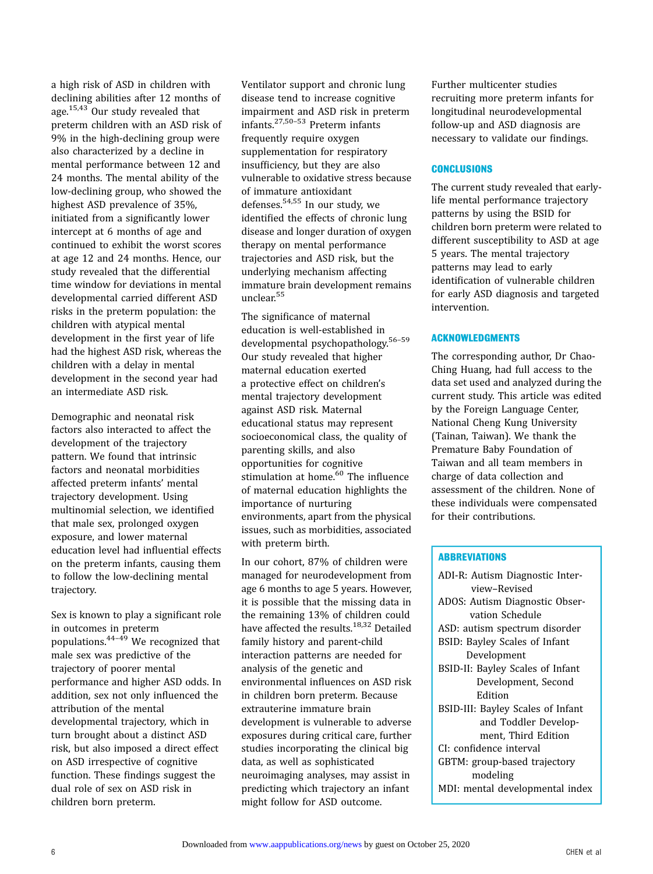a high risk of ASD in children with declining abilities after 12 months of age.[15](#page-6-0),[43](#page-7-0) Our study revealed that preterm children with an ASD risk of 9% in the high-declining group were also characterized by a decline in mental performance between 12 and 24 months. The mental ability of the low-declining group, who showed the highest ASD prevalence of 35%, initiated from a significantly lower intercept at 6 months of age and continued to exhibit the worst scores at age 12 and 24 months. Hence, our study revealed that the differential time window for deviations in mental developmental carried different ASD risks in the preterm population: the children with atypical mental development in the first year of life had the highest ASD risk, whereas the children with a delay in mental development in the second year had an intermediate ASD risk.

Demographic and neonatal risk factors also interacted to affect the development of the trajectory pattern. We found that intrinsic factors and neonatal morbidities affected preterm infants' mental trajectory development. Using multinomial selection, we identified that male sex, prolonged oxygen exposure, and lower maternal education level had influential effects on the preterm infants, causing them to follow the low-declining mental trajectory.

Sex is known to play a significant role in outcomes in preterm populations. $44-49$  $44-49$  We recognized that male sex was predictive of the trajectory of poorer mental performance and higher ASD odds. In addition, sex not only influenced the attribution of the mental developmental trajectory, which in turn brought about a distinct ASD risk, but also imposed a direct effect on ASD irrespective of cognitive function. These findings suggest the dual role of sex on ASD risk in children born preterm.

Ventilator support and chronic lung disease tend to increase cognitive impairment and ASD risk in preterm infants.[27,](#page-7-0)[50](#page-8-0)–[53](#page-8-0) Preterm infants frequently require oxygen supplementation for respiratory insufficiency, but they are also vulnerable to oxidative stress because of immature antioxidant defenses[.54,55](#page-8-0) In our study, we identified the effects of chronic lung disease and longer duration of oxygen therapy on mental performance trajectories and ASD risk, but the underlying mechanism affecting immature brain development remains unclear.[55](#page-8-0)

The significance of maternal education is well-established in developmental psychopathology.[56](#page-8-0)–[59](#page-8-0) Our study revealed that higher maternal education exerted a protective effect on children's mental trajectory development against ASD risk. Maternal educational status may represent socioeconomical class, the quality of parenting skills, and also opportunities for cognitive stimulation at home.<sup>[60](#page-8-0)</sup> The influence of maternal education highlights the importance of nurturing environments, apart from the physical issues, such as morbidities, associated with preterm birth.

In our cohort, 87% of children were managed for neurodevelopment from age 6 months to age 5 years. However, it is possible that the missing data in the remaining 13% of children could have affected the results.<sup>[18,32](#page-7-0)</sup> Detailed family history and parent-child interaction patterns are needed for analysis of the genetic and environmental influences on ASD risk in children born preterm. Because extrauterine immature brain development is vulnerable to adverse exposures during critical care, further studies incorporating the clinical big data, as well as sophisticated neuroimaging analyses, may assist in predicting which trajectory an infant might follow for ASD outcome.

Further multicenter studies recruiting more preterm infants for longitudinal neurodevelopmental follow-up and ASD diagnosis are necessary to validate our findings.

#### **CONCLUSIONS**

The current study revealed that earlylife mental performance trajectory patterns by using the BSID for children born preterm were related to different susceptibility to ASD at age 5 years. The mental trajectory patterns may lead to early identification of vulnerable children for early ASD diagnosis and targeted intervention.

#### ACKNOWLEDGMENTS

The corresponding author, Dr Chao-Ching Huang, had full access to the data set used and analyzed during the current study. This article was edited by the Foreign Language Center, National Cheng Kung University (Tainan, Taiwan). We thank the Premature Baby Foundation of Taiwan and all team members in charge of data collection and assessment of the children. None of these individuals were compensated for their contributions.

#### **ABBREVIATIONS**

| ADI-R: Autism Diagnostic Inter-   |  |  |
|-----------------------------------|--|--|
| view-Revised                      |  |  |
| ADOS: Autism Diagnostic Obser-    |  |  |
| vation Schedule                   |  |  |
| ASD: autism spectrum disorder     |  |  |
| BSID: Bayley Scales of Infant     |  |  |
| Development                       |  |  |
| BSID-II: Bayley Scales of Infant  |  |  |
| Development, Second               |  |  |
| Edition                           |  |  |
| BSID-III: Bayley Scales of Infant |  |  |
| and Toddler Develop-              |  |  |
| ment, Third Edition               |  |  |
| CI: confidence interval           |  |  |
| GBTM: group-based trajectory      |  |  |
| modeling                          |  |  |
| MDI: mental developmental index   |  |  |
|                                   |  |  |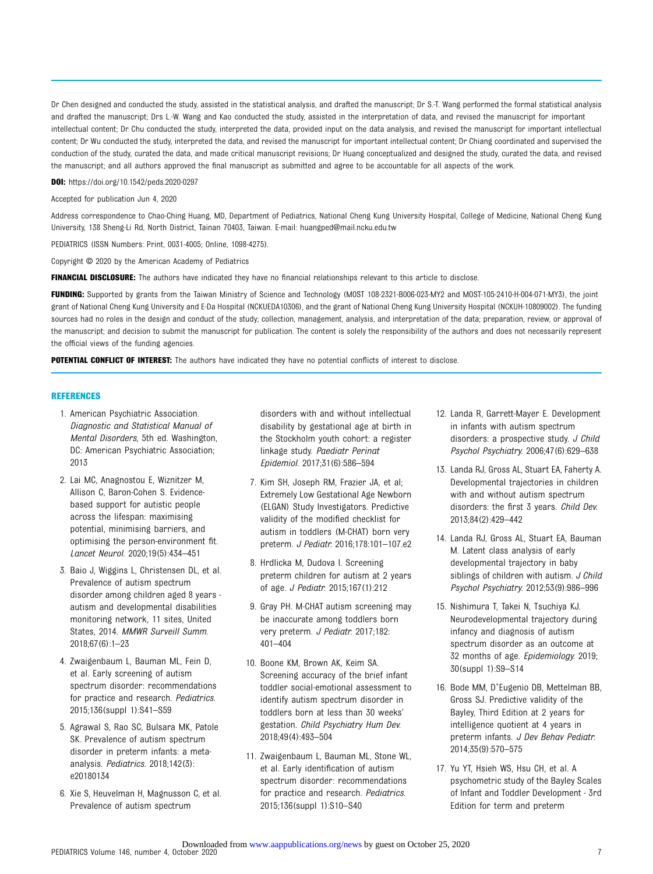<span id="page-6-0"></span>Dr Chen designed and conducted the study, assisted in the statistical analysis, and drafted the manuscript; Dr S.-T. Wang performed the formal statistical analysis and drafted the manuscript; Drs L.-W. Wang and Kao conducted the study, assisted in the interpretation of data, and revised the manuscript for important intellectual content; Dr Chu conducted the study, interpreted the data, provided input on the data analysis, and revised the manuscript for important intellectual content; Dr Wu conducted the study, interpreted the data, and revised the manuscript for important intellectual content; Dr Chiang coordinated and supervised the conduction of the study, curated the data, and made critical manuscript revisions; Dr Huang conceptualized and designed the study, curated the data, and revised the manuscript; and all authors approved the final manuscript as submitted and agree to be accountable for all aspects of the work.

DOI: <https://doi.org/10.1542/peds.2020-0297>

Accepted for publication Jun 4, 2020

Address correspondence to Chao-Ching Huang, MD, Department of Pediatrics, National Cheng Kung University Hospital, College of Medicine, National Cheng Kung University, 138 Sheng-Li Rd, North District, Tainan 70403, Taiwan. E-mail: [huangped@mail.ncku.edu.tw](mailto:huangped@mail.ncku.edu.tw)

PEDIATRICS (ISSN Numbers: Print, 0031-4005; Online, 1098-4275).

Copyright © 2020 by the American Academy of Pediatrics

FINANCIAL DISCLOSURE: The authors have indicated they have no financial relationships relevant to this article to disclose.

FUNDING: Supported by grants from the Taiwan Ministry of Science and Technology (MOST 108-2321-B006-023-MY2 and MOST-105-2410-H-004-071-MY3), the joint grant of National Cheng Kung University and E-Da Hospital (NCKUEDA10306), and the grant of National Cheng Kung University Hospital (NCKUH-10809002). The funding sources had no roles in the design and conduct of the study; collection, management, analysis, and interpretation of the data; preparation, review, or approval of the manuscript; and decision to submit the manuscript for publication. The content is solely the responsibility of the authors and does not necessarily represent the official views of the funding agencies.

POTENTIAL CONFLICT OF INTEREST: The authors have indicated they have no potential conflicts of interest to disclose.

#### REFERENCES

- 1. American Psychiatric Association. Diagnostic and Statistical Manual of Mental Disorders, 5th ed. Washington, DC: American Psychiatric Association; 2013
- 2. Lai MC, Anagnostou E, Wiznitzer M, Allison C, Baron-Cohen S. Evidencebased support for autistic people across the lifespan: maximising potential, minimising barriers, and optimising the person-environment fit. Lancet Neurol. 2020;19(5):434–451
- 3. Baio J, Wiggins L, Christensen DL, et al. Prevalence of autism spectrum disorder among children aged 8 years autism and developmental disabilities monitoring network, 11 sites, United States, 2014. MMWR Surveill Summ. 2018;67(6):1–23
- 4. Zwaigenbaum L, Bauman ML, Fein D, et al. Early screening of autism spectrum disorder: recommendations for practice and research. Pediatrics. 2015;136(suppl 1):S41–S59
- 5. Agrawal S, Rao SC, Bulsara MK, Patole SK. Prevalence of autism spectrum disorder in preterm infants: a metaanalysis. Pediatrics. 2018;142(3): e20180134
- 6. Xie S, Heuvelman H, Magnusson C, et al. Prevalence of autism spectrum

disorders with and without intellectual disability by gestational age at birth in the Stockholm youth cohort: a register linkage study. Paediatr Perinat Epidemiol. 2017;31(6):586–594

- 7. Kim SH, Joseph RM, Frazier JA, et al; Extremely Low Gestational Age Newborn (ELGAN) Study Investigators. Predictive validity of the modified checklist for autism in toddlers (M-CHAT) born very preterm. J Pediatr. 2016;178:101–107.e2
- 8. Hrdlicka M, Dudova I. Screening preterm children for autism at 2 years of age. J Pediatr. 2015;167(1):212
- 9. Gray PH. M-CHAT autism screening may be inaccurate among toddlers born very preterm. J Pediatr. 2017;182: 401–404
- 10. Boone KM, Brown AK, Keim SA. Screening accuracy of the brief infant toddler social-emotional assessment to identify autism spectrum disorder in toddlers born at less than 30 weeks' gestation. Child Psychiatry Hum Dev. 2018;49(4):493–504
- 11. Zwaigenbaum L, Bauman ML, Stone WL, et al. Early identification of autism spectrum disorder: recommendations for practice and research. Pediatrics. 2015;136(suppl 1):S10–S40
- 12. Landa R, Garrett-Mayer E. Development in infants with autism spectrum disorders: a prospective study. J Child Psychol Psychiatry. 2006;47(6):629–638
- 13. Landa RJ, Gross AL, Stuart EA, Faherty A. Developmental trajectories in children with and without autism spectrum disorders: the first 3 years. Child Dev. 2013;84(2):429–442
- 14. Landa RJ, Gross AL, Stuart EA, Bauman M. Latent class analysis of early developmental trajectory in baby siblings of children with autism. J Child Psychol Psychiatry. 2012;53(9):986–996
- 15. Nishimura T, Takei N, Tsuchiya KJ. Neurodevelopmental trajectory during infancy and diagnosis of autism spectrum disorder as an outcome at 32 months of age. Epidemiology. 2019; 30(suppl 1):S9–S14
- 16. Bode MM, D'Eugenio DB, Mettelman BB, Gross SJ. Predictive validity of the Bayley, Third Edition at 2 years for intelligence quotient at 4 years in preterm infants. J Dev Behav Pediatr. 2014;35(9):570–575
- 17. Yu YT, Hsieh WS, Hsu CH, et al. A psychometric study of the Bayley Scales of Infant and Toddler Development - 3rd Edition for term and preterm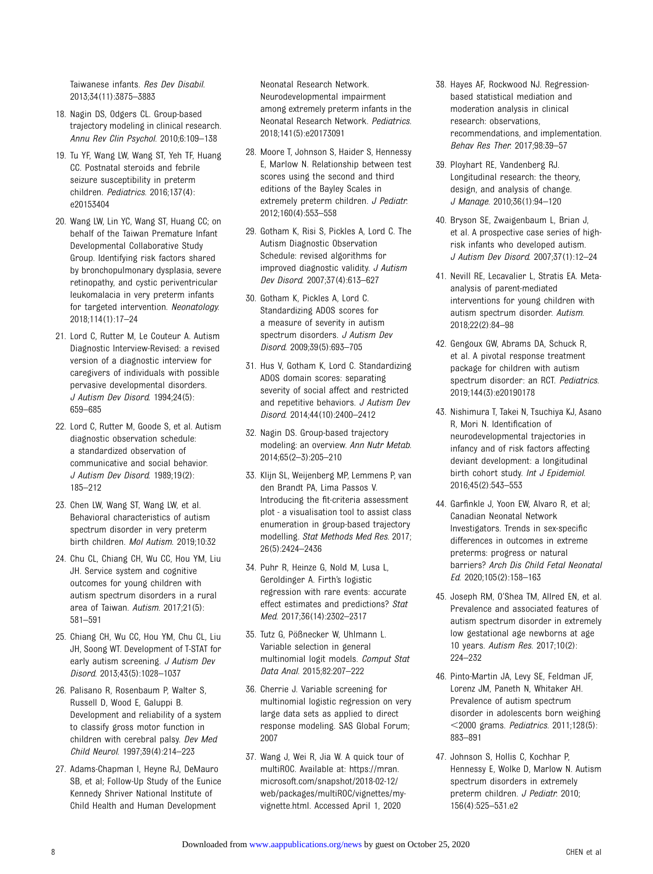<span id="page-7-0"></span>Taiwanese infants. Res Dev Disabil. 2013;34(11):3875–3883

- 18. Nagin DS, Odgers CL. Group-based trajectory modeling in clinical research. Annu Rev Clin Psychol. 2010;6:109–138
- 19. Tu YF, Wang LW, Wang ST, Yeh TF, Huang CC. Postnatal steroids and febrile seizure susceptibility in preterm children. Pediatrics. 2016;137(4): e20153404
- 20. Wang LW, Lin YC, Wang ST, Huang CC; on behalf of the Taiwan Premature Infant Developmental Collaborative Study Group. Identifying risk factors shared by bronchopulmonary dysplasia, severe retinopathy, and cystic periventricular leukomalacia in very preterm infants for targeted intervention. Neonatology. 2018;114(1):17–24
- 21. Lord C, Rutter M, Le Couteur A. Autism Diagnostic Interview-Revised: a revised version of a diagnostic interview for caregivers of individuals with possible pervasive developmental disorders. J Autism Dev Disord. 1994;24(5): 659–685
- 22. Lord C, Rutter M, Goode S, et al. Autism diagnostic observation schedule: a standardized observation of communicative and social behavior. J Autism Dev Disord. 1989;19(2): 185–212
- 23. Chen LW, Wang ST, Wang LW, et al. Behavioral characteristics of autism spectrum disorder in very preterm birth children. Mol Autism. 2019;10:32
- 24. Chu CL, Chiang CH, Wu CC, Hou YM, Liu JH. Service system and cognitive outcomes for young children with autism spectrum disorders in a rural area of Taiwan. Autism. 2017;21(5): 581–591
- 25. Chiang CH, Wu CC, Hou YM, Chu CL, Liu JH, Soong WT. Development of T-STAT for early autism screening. J Autism Dev Disord. 2013;43(5):1028–1037
- 26. Palisano R, Rosenbaum P, Walter S, Russell D, Wood E, Galuppi B. Development and reliability of a system to classify gross motor function in children with cerebral palsy. Dev Med Child Neurol. 1997;39(4):214–223
- 27. Adams-Chapman I, Heyne RJ, DeMauro SB, et al; Follow-Up Study of the Eunice Kennedy Shriver National Institute of Child Health and Human Development

Neonatal Research Network. Neurodevelopmental impairment among extremely preterm infants in the Neonatal Research Network. Pediatrics. 2018;141(5):e20173091

- 28. Moore T, Johnson S, Haider S, Hennessy E, Marlow N. Relationship between test scores using the second and third editions of the Bayley Scales in extremely preterm children. J Pediatr. 2012;160(4):553–558
- 29. Gotham K, Risi S, Pickles A, Lord C. The Autism Diagnostic Observation Schedule: revised algorithms for improved diagnostic validity. J Autism Dev Disord. 2007;37(4):613–627
- 30. Gotham K, Pickles A, Lord C. Standardizing ADOS scores for a measure of severity in autism spectrum disorders. J Autism Dev Disord. 2009;39(5):693–705
- 31. Hus V, Gotham K, Lord C. Standardizing ADOS domain scores: separating severity of social affect and restricted and repetitive behaviors. J Autism Dev Disord. 2014;44(10):2400–2412
- 32. Nagin DS. Group-based trajectory modeling: an overview. Ann Nutr Metab. 2014;65(2–3):205–210
- 33. Klijn SL, Weijenberg MP, Lemmens P, van den Brandt PA, Lima Passos V. Introducing the fit-criteria assessment plot - a visualisation tool to assist class enumeration in group-based trajectory modelling. Stat Methods Med Res. 2017; 26(5):2424–2436
- 34. Puhr R, Heinze G, Nold M, Lusa L, Geroldinger A. Firth's logistic regression with rare events: accurate effect estimates and predictions? Stat Med. 2017;36(14):2302–2317
- 35. Tutz G, Pößnecker W, Uhlmann L. Variable selection in general multinomial logit models. Comput Stat Data Anal. 2015;82:207–222
- 36. Cherrie J. Variable screening for multinomial logistic regression on very large data sets as applied to direct response modeling. SAS Global Forum; 2007
- 37. Wang J, Wei R, Jia W. A quick tour of multiROC. Available at: [https://mran.](https://mran.microsoft.com/snapshot/2018-02-12/web/packages/multiROC/vignettes/my-vignette.html) [microsoft.com/snapshot/2018-02-12/](https://mran.microsoft.com/snapshot/2018-02-12/web/packages/multiROC/vignettes/my-vignette.html) [web/packages/multiROC/vignettes/my](https://mran.microsoft.com/snapshot/2018-02-12/web/packages/multiROC/vignettes/my-vignette.html)[vignette.html](https://mran.microsoft.com/snapshot/2018-02-12/web/packages/multiROC/vignettes/my-vignette.html). Accessed April 1, 2020
- 38. Hayes AF, Rockwood NJ. Regressionbased statistical mediation and moderation analysis in clinical research: observations, recommendations, and implementation. Behav Res Ther. 2017;98:39–57
- 39. Ployhart RE, Vandenberg RJ. Longitudinal research: the theory, design, and analysis of change. J Manage. 2010;36(1):94–120
- 40. Bryson SE, Zwaigenbaum L, Brian J, et al. A prospective case series of highrisk infants who developed autism. J Autism Dev Disord. 2007;37(1):12–24
- 41. Nevill RE, Lecavalier L, Stratis EA. Metaanalysis of parent-mediated interventions for young children with autism spectrum disorder. Autism. 2018;22(2):84–98
- 42. Gengoux GW, Abrams DA, Schuck R, et al. A pivotal response treatment package for children with autism spectrum disorder: an RCT. Pediatrics. 2019;144(3):e20190178
- 43. Nishimura T, Takei N, Tsuchiya KJ, Asano R, Mori N. Identification of neurodevelopmental trajectories in infancy and of risk factors affecting deviant development: a longitudinal birth cohort study. Int J Epidemiol. 2016;45(2):543–553
- 44. Garfinkle J, Yoon EW, Alvaro R, et al; Canadian Neonatal Network Investigators. Trends in sex-specific differences in outcomes in extreme preterms: progress or natural barriers? Arch Dis Child Fetal Neonatal Ed. 2020;105(2):158–163
- 45. Joseph RM, O'Shea TM, Allred EN, et al. Prevalence and associated features of autism spectrum disorder in extremely low gestational age newborns at age 10 years. Autism Res. 2017;10(2): 224–232
- 46. Pinto-Martin JA, Levy SE, Feldman JF, Lorenz JM, Paneth N, Whitaker AH. Prevalence of autism spectrum disorder in adolescents born weighing ,2000 grams. Pediatrics. 2011;128(5): 883–891
- 47. Johnson S, Hollis C, Kochhar P, Hennessy E, Wolke D, Marlow N. Autism spectrum disorders in extremely preterm children. J Pediatr. 2010; 156(4):525–531.e2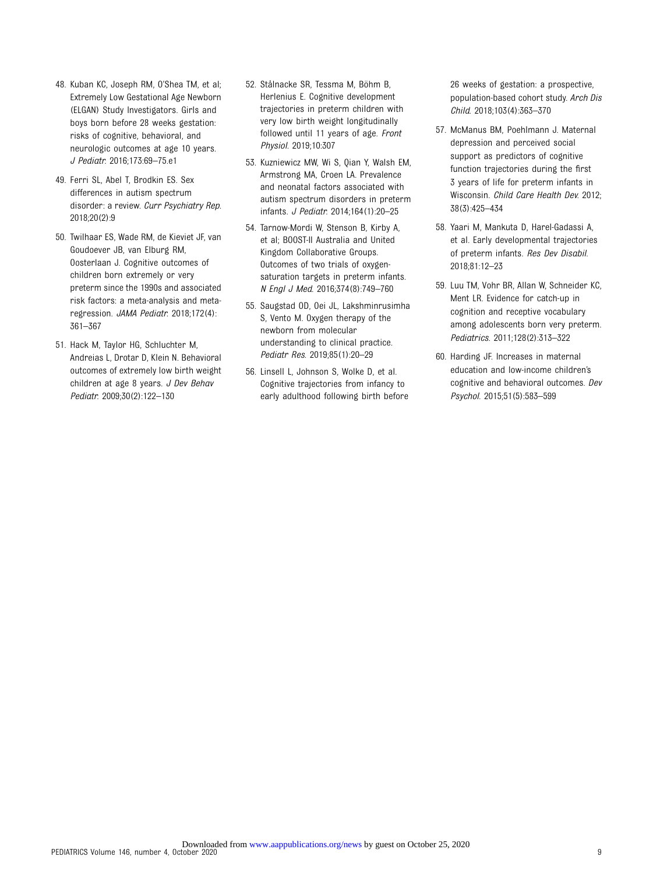- <span id="page-8-0"></span>48. Kuban KC, Joseph RM, O'Shea TM, et al; Extremely Low Gestational Age Newborn (ELGAN) Study Investigators. Girls and boys born before 28 weeks gestation: risks of cognitive, behavioral, and neurologic outcomes at age 10 years. J Pediatr. 2016;173:69–75.e1
- 49. Ferri SL, Abel T, Brodkin ES. Sex differences in autism spectrum disorder: a review. Curr Psychiatry Rep. 2018;20(2):9
- 50. Twilhaar ES, Wade RM, de Kieviet JF, van Goudoever JB, van Elburg RM, Oosterlaan J. Cognitive outcomes of children born extremely or very preterm since the 1990s and associated risk factors: a meta-analysis and metaregression. JAMA Pediatr. 2018;172(4): 361–367
- 51. Hack M, Taylor HG, Schluchter M, Andreias L, Drotar D, Klein N. Behavioral outcomes of extremely low birth weight children at age 8 years. J Dev Behav Pediatr. 2009;30(2):122–130
- 52. Stålnacke SR, Tessma M, Böhm B, Herlenius E. Cognitive development trajectories in preterm children with very low birth weight longitudinally followed until 11 years of age. Front Physiol. 2019;10:307
- 53. Kuzniewicz MW, Wi S, Qian Y, Walsh EM, Armstrong MA, Croen LA. Prevalence and neonatal factors associated with autism spectrum disorders in preterm infants. J Pediatr. 2014;164(1):20–25
- 54. Tarnow-Mordi W, Stenson B, Kirby A, et al; BOOST-II Australia and United Kingdom Collaborative Groups. Outcomes of two trials of oxygensaturation targets in preterm infants. N Engl J Med. 2016;374(8):749–760
- 55. Saugstad OD, Oei JL, Lakshminrusimha S, Vento M. Oxygen therapy of the newborn from molecular understanding to clinical practice. Pediatr Res. 2019;85(1):20–29
- 56. Linsell L, Johnson S, Wolke D, et al. Cognitive trajectories from infancy to early adulthood following birth before

26 weeks of gestation: a prospective, population-based cohort study. Arch Dis Child. 2018;103(4):363–370

- 57. McManus BM, Poehlmann J. Maternal depression and perceived social support as predictors of cognitive function trajectories during the first 3 years of life for preterm infants in Wisconsin. Child Care Health Dev. 2012; 38(3):425–434
- 58. Yaari M, Mankuta D, Harel-Gadassi A, et al. Early developmental trajectories of preterm infants. Res Dev Disabil. 2018;81:12–23
- 59. Luu TM, Vohr BR, Allan W, Schneider KC, Ment LR. Evidence for catch-up in cognition and receptive vocabulary among adolescents born very preterm. Pediatrics. 2011;128(2):313–322
- 60. Harding JF. Increases in maternal education and low-income children's cognitive and behavioral outcomes. Dev Psychol. 2015;51(5):583–599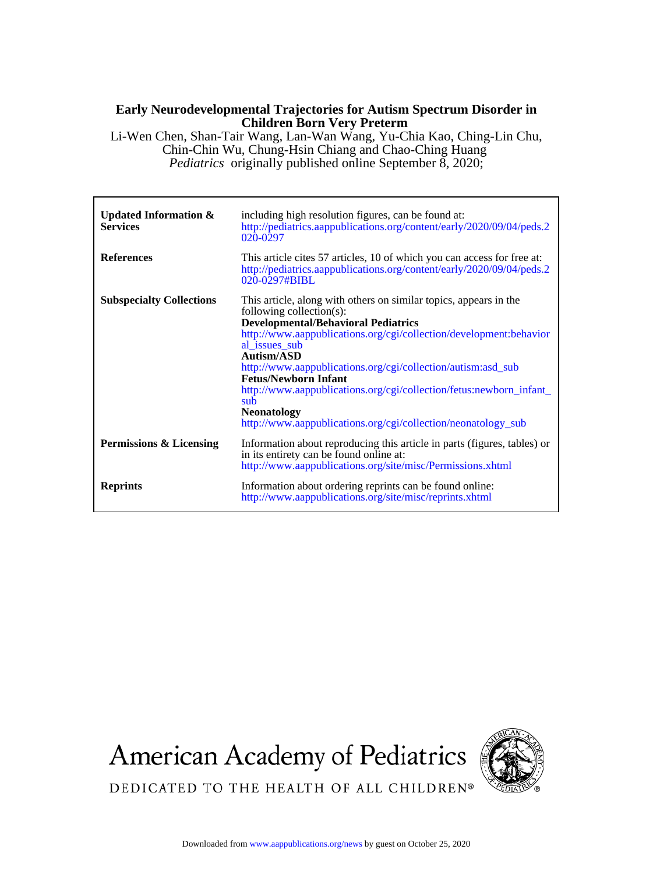## **Children Born Very Preterm Early Neurodevelopmental Trajectories for Autism Spectrum Disorder in**

*Pediatrics* originally published online September 8, 2020; Chin-Chin Wu, Chung-Hsin Chiang and Chao-Ching Huang Li-Wen Chen, Shan-Tair Wang, Lan-Wan Wang, Yu-Chia Kao, Ching-Lin Chu,

| Updated Information $\&$<br><b>Services</b> | including high resolution figures, can be found at:<br>http://pediatrics.aappublications.org/content/early/2020/09/04/peds.2<br>020-0297                                                                                                                                                                                                                                                                                                                                                                             |
|---------------------------------------------|----------------------------------------------------------------------------------------------------------------------------------------------------------------------------------------------------------------------------------------------------------------------------------------------------------------------------------------------------------------------------------------------------------------------------------------------------------------------------------------------------------------------|
| <b>References</b>                           | This article cites 57 articles, 10 of which you can access for free at:<br>http://pediatrics.aappublications.org/content/early/2020/09/04/peds.2<br>020-0297#BIBL                                                                                                                                                                                                                                                                                                                                                    |
| <b>Subspecialty Collections</b>             | This article, along with others on similar topics, appears in the<br>following collection(s):<br><b>Developmental/Behavioral Pediatrics</b><br>http://www.aappublications.org/cgi/collection/development:behavior<br>al issues sub<br>Autism/ASD<br>http://www.aappublications.org/cgi/collection/autism:asd_sub<br><b>Fetus/Newborn Infant</b><br>http://www.aappublications.org/cgi/collection/fetus:newborn_infant_<br>sub<br><b>Neonatology</b><br>http://www.aappublications.org/cgi/collection/neonatology_sub |
| Permissions & Licensing                     | Information about reproducing this article in parts (figures, tables) or<br>in its entirety can be found online at:<br>http://www.aappublications.org/site/misc/Permissions.xhtml                                                                                                                                                                                                                                                                                                                                    |
| <b>Reprints</b>                             | Information about ordering reprints can be found online:<br>http://www.aappublications.org/site/misc/reprints.xhtml                                                                                                                                                                                                                                                                                                                                                                                                  |

# **American Academy of Pediatrics**



DEDICATED TO THE HEALTH OF ALL CHILDREN®